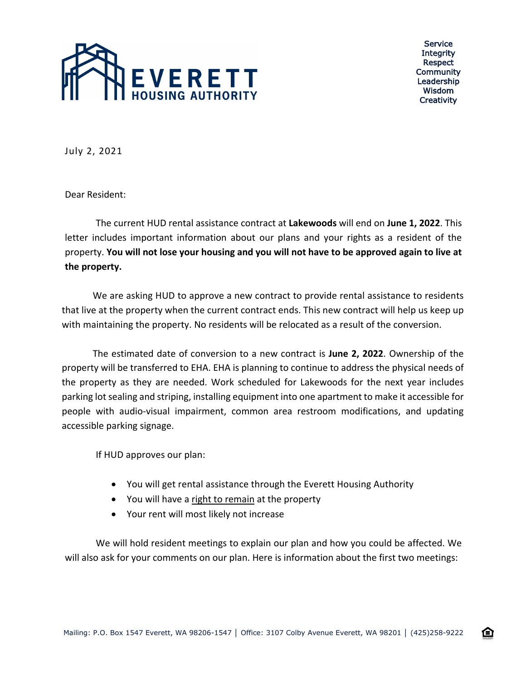

Service **Integrity** Respect Community Leadership Wisdom **Creativity** 

July 2, 2021

Dear Resident:

The current HUD rental assistance contract at **Lakewoods** will end on **June 1, 2022**. This letter includes important information about our plans and your rights as a resident of the property. **You will not lose your housing and you will not have to be approved again to live at the property.**

We are asking HUD to approve a new contract to provide rental assistance to residents that live at the property when the current contract ends. This new contract will help us keep up with maintaining the property. No residents will be relocated as a result of the conversion.

The estimated date of conversion to a new contract is **June 2, 2022**. Ownership of the property will be transferred to EHA. EHA is planning to continue to address the physical needs of the property as they are needed. Work scheduled for Lakewoods for the next year includes parking lot sealing and striping, installing equipment into one apartment to make it accessible for people with audio-visual impairment, common area restroom modifications, and updating accessible parking signage.

If HUD approves our plan:

- You will get rental assistance through the Everett Housing Authority
- You will have a right to remain at the property
- Your rent will most likely not increase

We will hold resident meetings to explain our plan and how you could be affected. We will also ask for your comments on our plan. Here is information about the first two meetings: